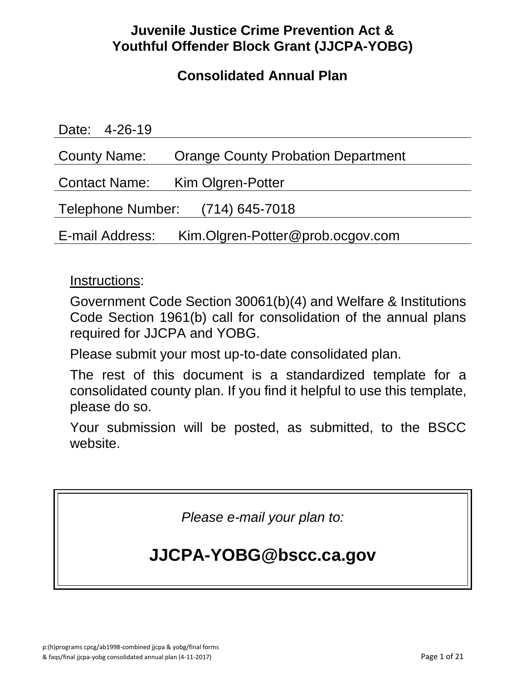# **Juvenile Justice Crime Prevention Act & Youthful Offender Block Grant (JJCPA-YOBG)**

# **Consolidated Annual Plan**

| Date: 4-26-19                                       |                                           |
|-----------------------------------------------------|-------------------------------------------|
| County Name:                                        | <b>Orange County Probation Department</b> |
|                                                     | Contact Name: Kim Olgren-Potter           |
| Telephone Number: (714) 645-7018                    |                                           |
| Kim.Olgren-Potter@prob.ocgov.com<br>E-mail Address: |                                           |

## Instructions:

Government Code Section 30061(b)(4) and Welfare & Institutions Code Section 1961(b) call for consolidation of the annual plans required for JJCPA and YOBG.

Please submit your most up-to-date consolidated plan.

The rest of this document is a standardized template for a consolidated county plan. If you find it helpful to use this template, please do so.

Your submission will be posted, as submitted, to the BSCC website.

*Please e-mail your plan to:*

# **JJCPA-YOBG@bscc.ca.gov**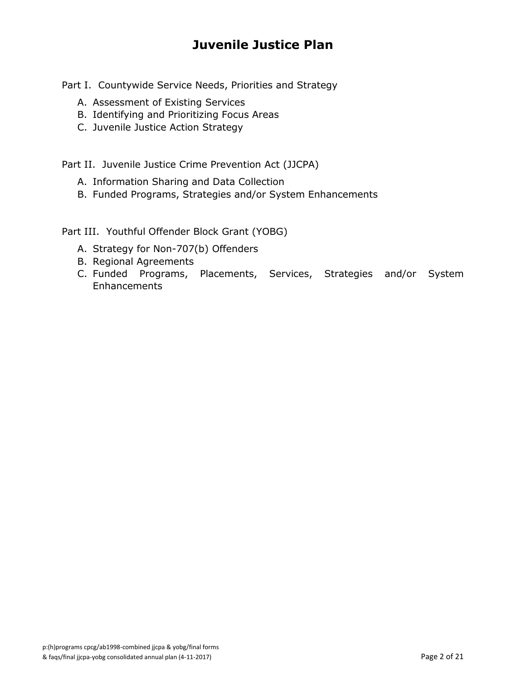# **Juvenile Justice Plan**

Part I. Countywide Service Needs, Priorities and Strategy

- A. Assessment of Existing Services
- B. Identifying and Prioritizing Focus Areas
- C. Juvenile Justice Action Strategy

Part II. Juvenile Justice Crime Prevention Act (JJCPA)

- A. Information Sharing and Data Collection
- B. Funded Programs, Strategies and/or System Enhancements

Part III. Youthful Offender Block Grant (YOBG)

- A. Strategy for Non-707(b) Offenders
- B. Regional Agreements
- C. Funded Programs, Placements, Services, Strategies and/or System **Enhancements**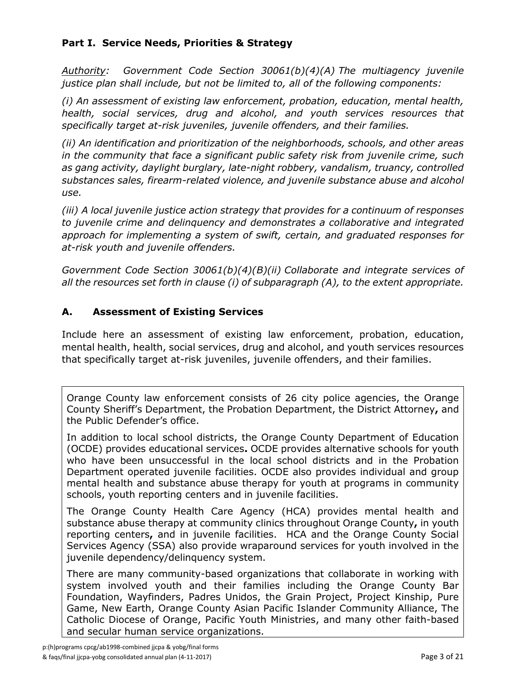### **Part I. Service Needs, Priorities & Strategy**

*Authority: Government Code Section 30061(b)(4)(A) The multiagency juvenile justice plan shall include, but not be limited to, all of the following components:*

*(i) An assessment of existing law enforcement, probation, education, mental health, health, social services, drug and alcohol, and youth services resources that specifically target at-risk juveniles, juvenile offenders, and their families.*

*(ii) An identification and prioritization of the neighborhoods, schools, and other areas in the community that face a significant public safety risk from juvenile crime, such as gang activity, daylight burglary, late-night robbery, vandalism, truancy, controlled substances sales, firearm-related violence, and juvenile substance abuse and alcohol use.*

*(iii) A local juvenile justice action strategy that provides for a continuum of responses to juvenile crime and delinquency and demonstrates a collaborative and integrated approach for implementing a system of swift, certain, and graduated responses for at-risk youth and juvenile offenders.*

*Government Code Section 30061(b)(4)(B)(ii) Collaborate and integrate services of all the resources set forth in clause (i) of subparagraph (A), to the extent appropriate.*

### **A. Assessment of Existing Services**

Include here an assessment of existing law enforcement, probation, education, mental health, health, social services, drug and alcohol, and youth services resources that specifically target at-risk juveniles, juvenile offenders, and their families.

Orange County law enforcement consists of 26 city police agencies, the Orange County Sheriff's Department, the Probation Department, the District Attorney**,** and the Public Defender's office.

In addition to local school districts, the Orange County Department of Education (OCDE) provides educational services**.** OCDE provides alternative schools for youth who have been unsuccessful in the local school districts and in the Probation Department operated juvenile facilities. OCDE also provides individual and group mental health and substance abuse therapy for youth at programs in community schools, youth reporting centers and in juvenile facilities.

The Orange County Health Care Agency (HCA) provides mental health and substance abuse therapy at community clinics throughout Orange County**,** in youth reporting centers**,** and in juvenile facilities. HCA and the Orange County Social Services Agency (SSA) also provide wraparound services for youth involved in the juvenile dependency/delinquency system.

There are many community-based organizations that collaborate in working with system involved youth and their families including the Orange County Bar Foundation, Wayfinders, Padres Unidos, the Grain Project, Project Kinship, Pure Game, New Earth, Orange County Asian Pacific Islander Community Alliance, The Catholic Diocese of Orange, Pacific Youth Ministries, and many other faith-based and secular human service organizations.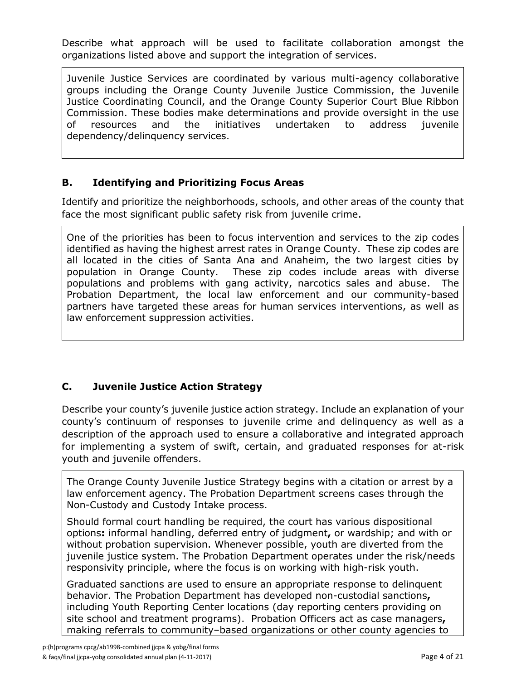Describe what approach will be used to facilitate collaboration amongst the organizations listed above and support the integration of services.

Juvenile Justice Services are coordinated by various multi-agency collaborative groups including the Orange County Juvenile Justice Commission, the Juvenile Justice Coordinating Council, and the Orange County Superior Court Blue Ribbon Commission. These bodies make determinations and provide oversight in the use of resources and the initiatives undertaken to address juvenile dependency/delinquency services.

### **B. Identifying and Prioritizing Focus Areas**

Identify and prioritize the neighborhoods, schools, and other areas of the county that face the most significant public safety risk from juvenile crime.

One of the priorities has been to focus intervention and services to the zip codes identified as having the highest arrest rates in Orange County. These zip codes are all located in the cities of Santa Ana and Anaheim, the two largest cities by population in Orange County. These zip codes include areas with diverse populations and problems with gang activity, narcotics sales and abuse. The Probation Department, the local law enforcement and our community-based partners have targeted these areas for human services interventions, as well as law enforcement suppression activities.

### **C. Juvenile Justice Action Strategy**

Describe your county's juvenile justice action strategy. Include an explanation of your county's continuum of responses to juvenile crime and delinquency as well as a description of the approach used to ensure a collaborative and integrated approach for implementing a system of swift, certain, and graduated responses for at-risk youth and juvenile offenders.

The Orange County Juvenile Justice Strategy begins with a citation or arrest by a law enforcement agency. The Probation Department screens cases through the Non-Custody and Custody Intake process.

Should formal court handling be required, the court has various dispositional options**:** informal handling, deferred entry of judgment**,** or wardship; and with or without probation supervision. Whenever possible, youth are diverted from the juvenile justice system. The Probation Department operates under the risk/needs responsivity principle, where the focus is on working with high-risk youth.

Graduated sanctions are used to ensure an appropriate response to delinquent behavior. The Probation Department has developed non-custodial sanctions**,** including Youth Reporting Center locations (day reporting centers providing on site school and treatment programs). Probation Officers act as case managers**,** making referrals to community–based organizations or other county agencies to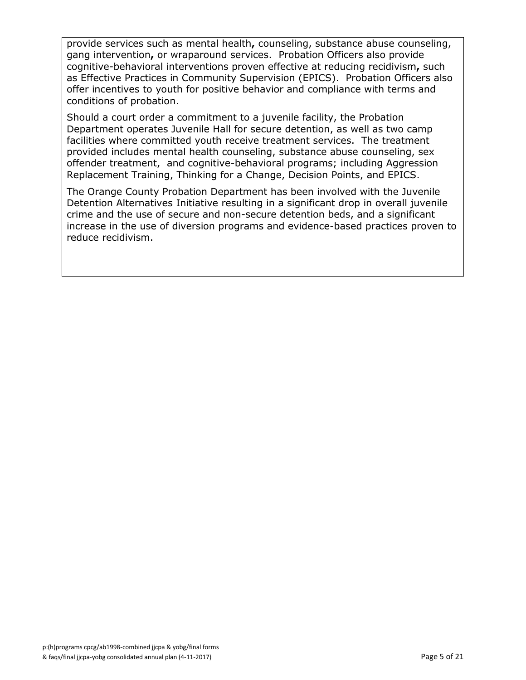provide services such as mental health**,** counseling, substance abuse counseling, gang intervention**,** or wraparound services. Probation Officers also provide cognitive-behavioral interventions proven effective at reducing recidivism**,** such as Effective Practices in Community Supervision (EPICS). Probation Officers also offer incentives to youth for positive behavior and compliance with terms and conditions of probation.

Should a court order a commitment to a juvenile facility, the Probation Department operates Juvenile Hall for secure detention, as well as two camp facilities where committed youth receive treatment services. The treatment provided includes mental health counseling, substance abuse counseling, sex offender treatment, and cognitive-behavioral programs; including Aggression Replacement Training, Thinking for a Change, Decision Points, and EPICS.

The Orange County Probation Department has been involved with the Juvenile Detention Alternatives Initiative resulting in a significant drop in overall juvenile crime and the use of secure and non-secure detention beds, and a significant increase in the use of diversion programs and evidence-based practices proven to reduce recidivism.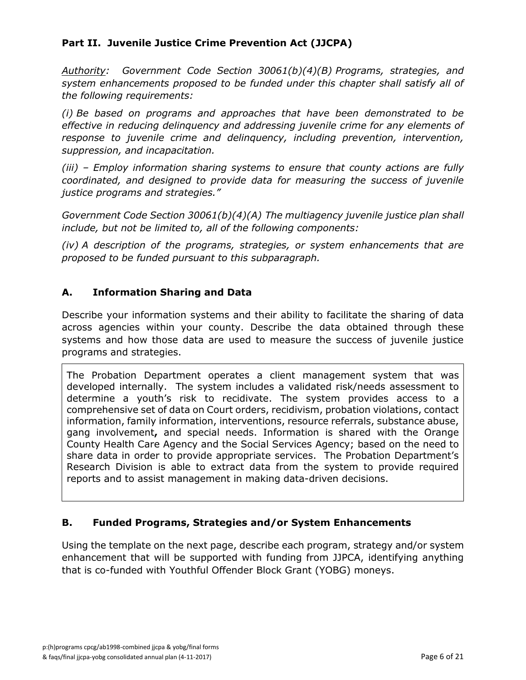### **Part II. Juvenile Justice Crime Prevention Act (JJCPA)**

*Authority: Government Code Section 30061(b)(4)(B) Programs, strategies, and system enhancements proposed to be funded under this chapter shall satisfy all of the following requirements:*

*(i) Be based on programs and approaches that have been demonstrated to be effective in reducing delinquency and addressing juvenile crime for any elements of response to juvenile crime and delinquency, including prevention, intervention, suppression, and incapacitation.*

*(iii) – Employ information sharing systems to ensure that county actions are fully coordinated, and designed to provide data for measuring the success of juvenile justice programs and strategies."*

*Government Code Section 30061(b)(4)(A) The multiagency juvenile justice plan shall include, but not be limited to, all of the following components:*

*(iv) A description of the programs, strategies, or system enhancements that are proposed to be funded pursuant to this subparagraph.*

### **A. Information Sharing and Data**

Describe your information systems and their ability to facilitate the sharing of data across agencies within your county. Describe the data obtained through these systems and how those data are used to measure the success of juvenile justice programs and strategies.

The Probation Department operates a client management system that was developed internally. The system includes a validated risk/needs assessment to determine a youth's risk to recidivate. The system provides access to a comprehensive set of data on Court orders, recidivism, probation violations, contact information, family information, interventions, resource referrals, substance abuse, gang involvement**,** and special needs. Information is shared with the Orange County Health Care Agency and the Social Services Agency; based on the need to share data in order to provide appropriate services. The Probation Department's Research Division is able to extract data from the system to provide required reports and to assist management in making data-driven decisions.

### **B. Funded Programs, Strategies and/or System Enhancements**

Using the template on the next page, describe each program, strategy and/or system enhancement that will be supported with funding from JJPCA, identifying anything that is co-funded with Youthful Offender Block Grant (YOBG) moneys.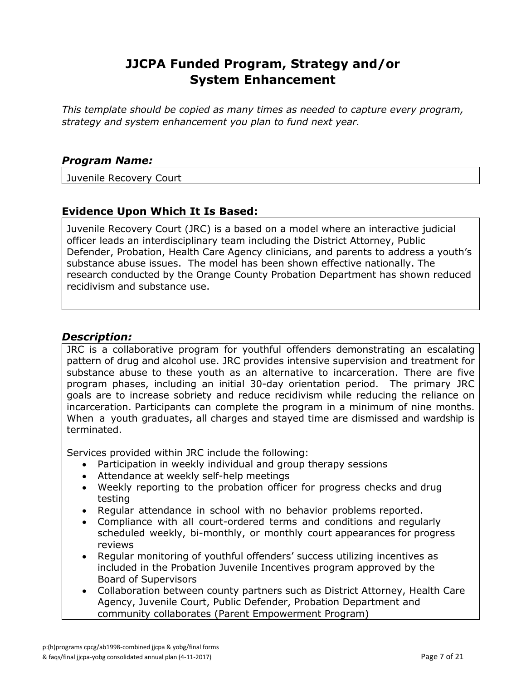*This template should be copied as many times as needed to capture every program, strategy and system enhancement you plan to fund next year.*

#### *Program Name:*

Juvenile Recovery Court

### **Evidence Upon Which It Is Based:**

Juvenile Recovery Court (JRC) is a based on a model where an interactive judicial officer leads an interdisciplinary team including the District Attorney, Public Defender, Probation, Health Care Agency clinicians, and parents to address a youth's substance abuse issues. The model has been shown effective nationally. The research conducted by the Orange County Probation Department has shown reduced recidivism and substance use.

### *Description:*

JRC is a collaborative program for youthful offenders demonstrating an escalating pattern of drug and alcohol use. JRC provides intensive supervision and treatment for substance abuse to these youth as an alternative to incarceration. There are five program phases, including an initial 30-day orientation period. The primary JRC goals are to increase sobriety and reduce recidivism while reducing the reliance on incarceration. Participants can complete the program in a minimum of nine months. When a youth graduates, all charges and stayed time are dismissed and wardship is terminated.

Services provided within JRC include the following:

- Participation in weekly individual and group therapy sessions
- Attendance at weekly self-help meetings
- Weekly reporting to the probation officer for progress checks and drug testing
- Regular attendance in school with no behavior problems reported.
- Compliance with all court-ordered terms and conditions and regularly scheduled weekly, bi-monthly, or monthly court appearances for progress reviews
- Regular monitoring of youthful offenders' success utilizing incentives as included in the Probation Juvenile Incentives program approved by the Board of Supervisors
- Collaboration between county partners such as District Attorney, Health Care Agency, Juvenile Court, Public Defender, Probation Department and community collaborates (Parent Empowerment Program)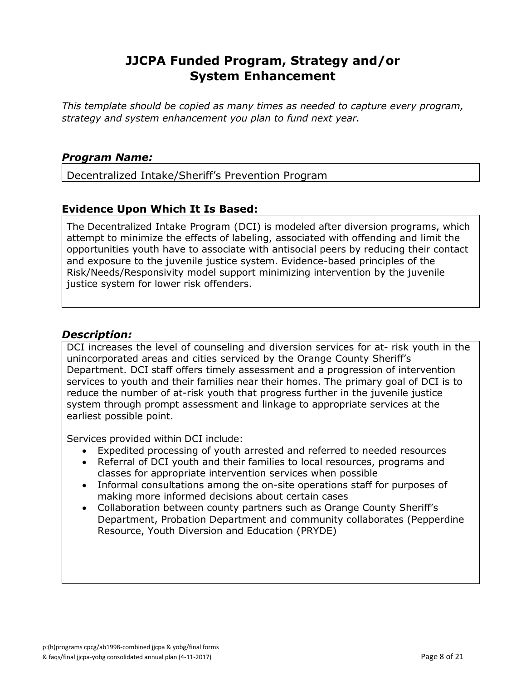*This template should be copied as many times as needed to capture every program, strategy and system enhancement you plan to fund next year.*

### *Program Name:*

Decentralized Intake/Sheriff's Prevention Program

### **Evidence Upon Which It Is Based:**

The Decentralized Intake Program (DCI) is modeled after diversion programs, which attempt to minimize the effects of labeling, associated with offending and limit the opportunities youth have to associate with antisocial peers by reducing their contact and exposure to the juvenile justice system. Evidence-based principles of the Risk/Needs/Responsivity model support minimizing intervention by the juvenile justice system for lower risk offenders.

### *Description:*

DCI increases the level of counseling and diversion services for at- risk youth in the unincorporated areas and cities serviced by the Orange County Sheriff's Department. DCI staff offers timely assessment and a progression of intervention services to youth and their families near their homes. The primary goal of DCI is to reduce the number of at-risk youth that progress further in the juvenile justice system through prompt assessment and linkage to appropriate services at the earliest possible point.

Services provided within DCI include:

- Expedited processing of youth arrested and referred to needed resources
- Referral of DCI youth and their families to local resources, programs and classes for appropriate intervention services when possible
- Informal consultations among the on-site operations staff for purposes of making more informed decisions about certain cases
- Collaboration between county partners such as Orange County Sheriff's Department, Probation Department and community collaborates (Pepperdine Resource, Youth Diversion and Education (PRYDE)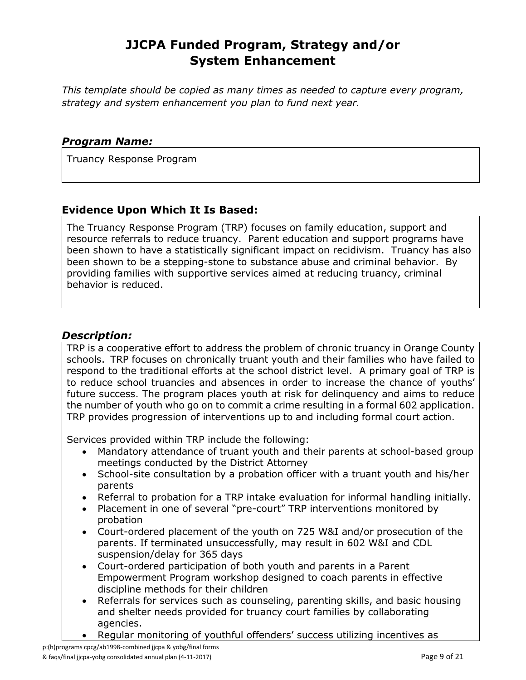*This template should be copied as many times as needed to capture every program, strategy and system enhancement you plan to fund next year.*

### *Program Name:*

Truancy Response Program

### **Evidence Upon Which It Is Based:**

The Truancy Response Program (TRP) focuses on family education, support and resource referrals to reduce truancy. Parent education and support programs have been shown to have a statistically significant impact on recidivism. Truancy has also been shown to be a stepping-stone to substance abuse and criminal behavior. By providing families with supportive services aimed at reducing truancy, criminal behavior is reduced.

### *Description:*

TRP is a cooperative effort to address the problem of chronic truancy in Orange County schools. TRP focuses on chronically truant youth and their families who have failed to respond to the traditional efforts at the school district level. A primary goal of TRP is to reduce school truancies and absences in order to increase the chance of youths' future success. The program places youth at risk for delinquency and aims to reduce the number of youth who go on to commit a crime resulting in a formal 602 application. TRP provides progression of interventions up to and including formal court action.

Services provided within TRP include the following:

- Mandatory attendance of truant youth and their parents at school-based group meetings conducted by the District Attorney
- School-site consultation by a probation officer with a truant youth and his/her parents
- Referral to probation for a TRP intake evaluation for informal handling initially.
- Placement in one of several "pre-court" TRP interventions monitored by probation
- Court-ordered placement of the youth on 725 W&I and/or prosecution of the parents. If terminated unsuccessfully, may result in 602 W&I and CDL suspension/delay for 365 days
- Court-ordered participation of both youth and parents in a Parent Empowerment Program workshop designed to coach parents in effective discipline methods for their children
- Referrals for services such as counseling, parenting skills, and basic housing and shelter needs provided for truancy court families by collaborating agencies.
- Regular monitoring of youthful offenders' success utilizing incentives as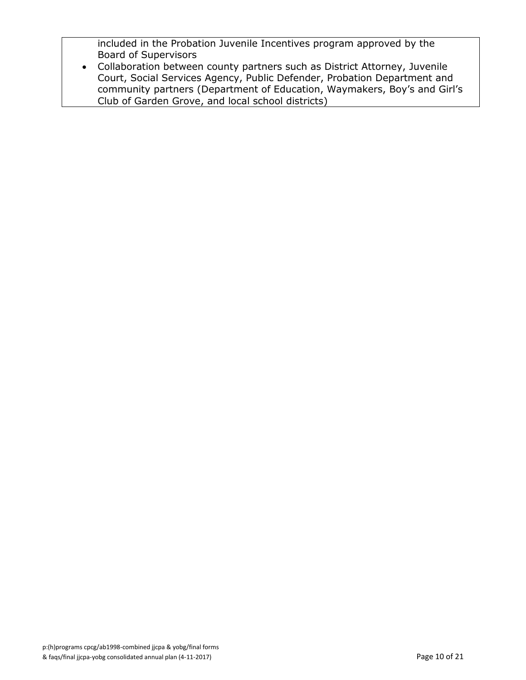included in the Probation Juvenile Incentives program approved by the Board of Supervisors

 Collaboration between county partners such as District Attorney, Juvenile Court, Social Services Agency, Public Defender, Probation Department and community partners (Department of Education, Waymakers, Boy's and Girl's Club of Garden Grove, and local school districts)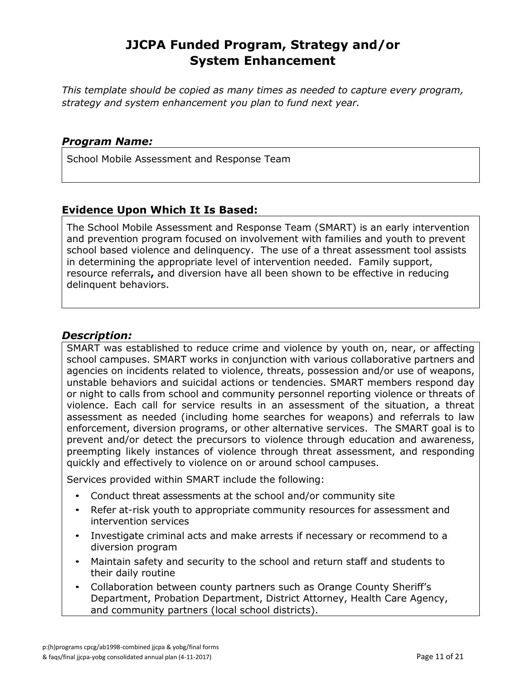*This template should be copied as many times as needed to capture every program, strategy and system enhancement you plan to fund next year.*

#### *Program Name:*

School Mobile Assessment and Response Team

### **Evidence Upon Which It Is Based:**

The School Mobile Assessment and Response Team (SMART) is an early intervention and prevention program focused on involvement with families and youth to prevent school based violence and delinquency. The use of a threat assessment tool assists in determining the appropriate level of intervention needed. Family support, resource referrals**,** and diversion have all been shown to be effective in reducing delinquent behaviors.

### *Description:*

SMART was established to reduce crime and violence by youth on, near, or affecting school campuses. SMART works in conjunction with various collaborative partners and agencies on incidents related to violence, threats, possession and/or use of weapons, unstable behaviors and suicidal actions or tendencies. SMART members respond day or night to calls from school and community personnel reporting violence or threats of violence. Each call for service results in an assessment of the situation, a threat assessment as needed (including home searches for weapons) and referrals to law enforcement, diversion programs, or other alternative services. The SMART goal is to prevent and/or detect the precursors to violence through education and awareness, preempting likely instances of violence through threat assessment, and responding quickly and effectively to violence on or around school campuses.

Services provided within SMART include the following:

- Conduct threat assessments at the school and/or community site
- Refer at-risk youth to appropriate community resources for assessment and intervention services
- Investigate criminal acts and make arrests if necessary or recommend to a diversion program
- Maintain safety and security to the school and return staff and students to their daily routine
- Collaboration between county partners such as Orange County Sheriff's Department, Probation Department, District Attorney, Health Care Agency, and community partners (local school districts).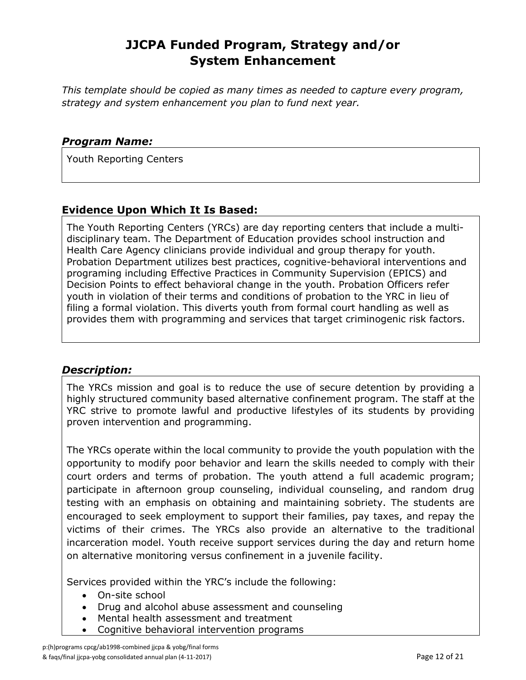*This template should be copied as many times as needed to capture every program, strategy and system enhancement you plan to fund next year.*

#### *Program Name:*

Youth Reporting Centers

### **Evidence Upon Which It Is Based:**

The Youth Reporting Centers (YRCs) are day reporting centers that include a multidisciplinary team. The Department of Education provides school instruction and Health Care Agency clinicians provide individual and group therapy for youth. Probation Department utilizes best practices, cognitive-behavioral interventions and programing including Effective Practices in Community Supervision (EPICS) and Decision Points to effect behavioral change in the youth. Probation Officers refer youth in violation of their terms and conditions of probation to the YRC in lieu of filing a formal violation. This diverts youth from formal court handling as well as provides them with programming and services that target criminogenic risk factors.

### *Description:*

The YRCs mission and goal is to reduce the use of secure detention by providing a highly structured community based alternative confinement program. The staff at the YRC strive to promote lawful and productive lifestyles of its students by providing proven intervention and programming.

The YRCs operate within the local community to provide the youth population with the opportunity to modify poor behavior and learn the skills needed to comply with their court orders and terms of probation. The youth attend a full academic program; participate in afternoon group counseling, individual counseling, and random drug testing with an emphasis on obtaining and maintaining sobriety. The students are encouraged to seek employment to support their families, pay taxes, and repay the victims of their crimes. The YRCs also provide an alternative to the traditional incarceration model. Youth receive support services during the day and return home on alternative monitoring versus confinement in a juvenile facility.

Services provided within the YRC's include the following:

- On-site school
- Drug and alcohol abuse assessment and counseling
- Mental health assessment and treatment
- Cognitive behavioral intervention programs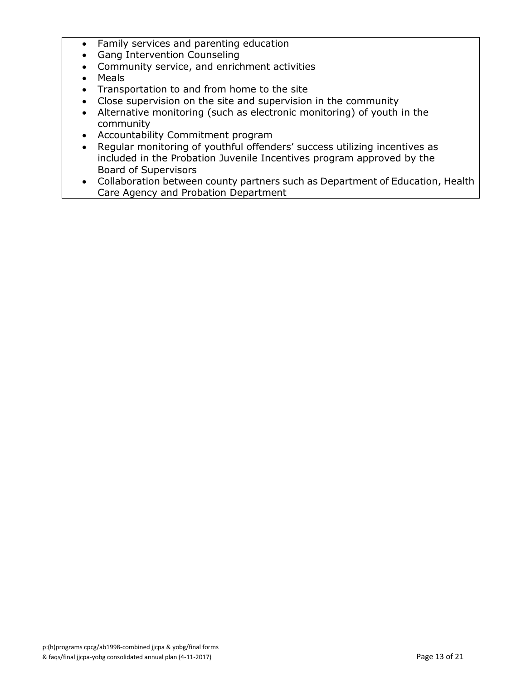- Family services and parenting education
- Gang Intervention Counseling
- Community service, and enrichment activities
- Meals
- Transportation to and from home to the site
- Close supervision on the site and supervision in the community
- Alternative monitoring (such as electronic monitoring) of youth in the community
- Accountability Commitment program
- Regular monitoring of youthful offenders' success utilizing incentives as included in the Probation Juvenile Incentives program approved by the Board of Supervisors
- Collaboration between county partners such as Department of Education, Health Care Agency and Probation Department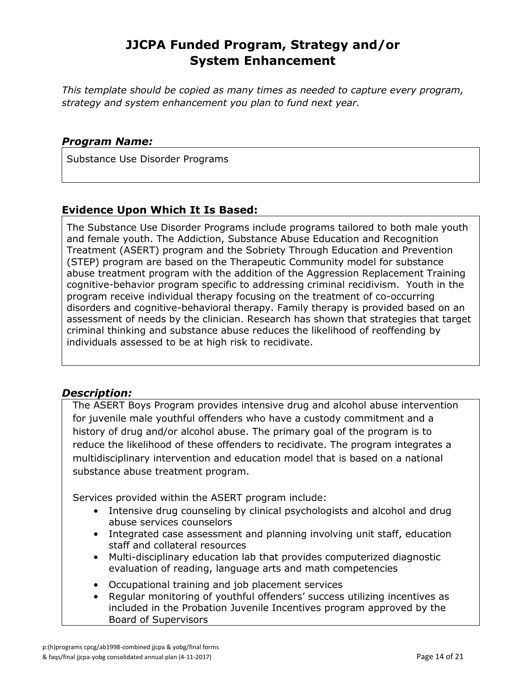*This template should be copied as many times as needed to capture every program, strategy and system enhancement you plan to fund next year.*

#### *Program Name:*

Substance Use Disorder Programs

### **Evidence Upon Which It Is Based:**

The Substance Use Disorder Programs include programs tailored to both male youth and female youth. The Addiction, Substance Abuse Education and Recognition Treatment (ASERT) program and the Sobriety Through Education and Prevention (STEP) program are based on the Therapeutic Community model for substance abuse treatment program with the addition of the Aggression Replacement Training cognitive-behavior program specific to addressing criminal recidivism. Youth in the program receive individual therapy focusing on the treatment of co-occurring disorders and cognitive-behavioral therapy. Family therapy is provided based on an assessment of needs by the clinician. Research has shown that strategies that target criminal thinking and substance abuse reduces the likelihood of reoffending by individuals assessed to be at high risk to recidivate.

### *Description:*

The ASERT Boys Program provides intensive drug and alcohol abuse intervention for juvenile male youthful offenders who have a custody commitment and a history of drug and/or alcohol abuse. The primary goal of the program is to reduce the likelihood of these offenders to recidivate. The program integrates a multidisciplinary intervention and education model that is based on a national substance abuse treatment program.

Services provided within the ASERT program include:

- Intensive drug counseling by clinical psychologists and alcohol and drug abuse services counselors
- Integrated case assessment and planning involving unit staff, education staff and collateral resources
- Multi-disciplinary education lab that provides computerized diagnostic evaluation of reading, language arts and math competencies
- Occupational training and job placement services
- Regular monitoring of youthful offenders' success utilizing incentives as included in the Probation Juvenile Incentives program approved by the Board of Supervisors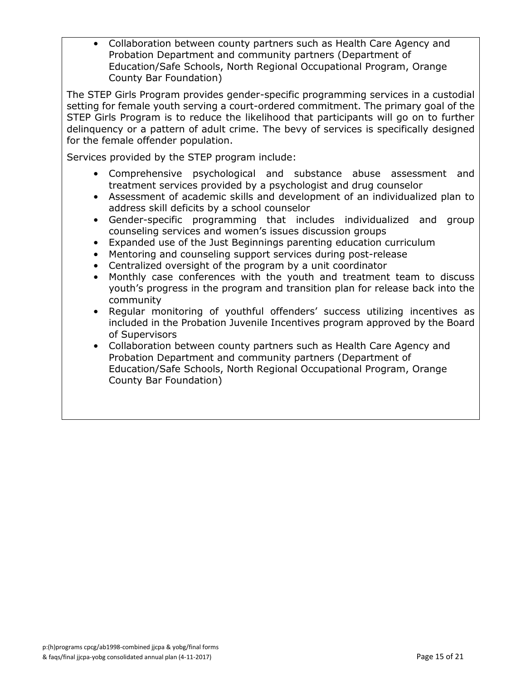• Collaboration between county partners such as Health Care Agency and Probation Department and community partners (Department of Education/Safe Schools, North Regional Occupational Program, Orange County Bar Foundation)

The STEP Girls Program provides gender-specific programming services in a custodial setting for female youth serving a court-ordered commitment. The primary goal of the STEP Girls Program is to reduce the likelihood that participants will go on to further delinquency or a pattern of adult crime. The bevy of services is specifically designed for the female offender population.

Services provided by the STEP program include:

- Comprehensive psychological and substance abuse assessment and treatment services provided by a psychologist and drug counselor
- Assessment of academic skills and development of an individualized plan to address skill deficits by a school counselor
- Gender-specific programming that includes individualized and group counseling services and women's issues discussion groups
- Expanded use of the Just Beginnings parenting education curriculum
- Mentoring and counseling support services during post-release
- Centralized oversight of the program by a unit coordinator
- Monthly case conferences with the youth and treatment team to discuss youth's progress in the program and transition plan for release back into the community
- Regular monitoring of youthful offenders' success utilizing incentives as included in the Probation Juvenile Incentives program approved by the Board of Supervisors
- Collaboration between county partners such as Health Care Agency and Probation Department and community partners (Department of Education/Safe Schools, North Regional Occupational Program, Orange County Bar Foundation)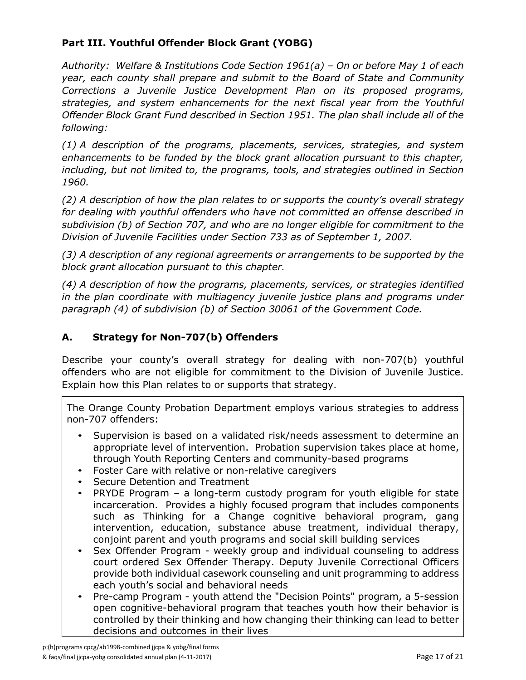### **Part III. Youthful Offender Block Grant (YOBG)**

*Authority: Welfare & Institutions Code Section 1961(a) – On or before May 1 of each year, each county shall prepare and submit to the Board of State and Community Corrections a Juvenile Justice Development Plan on its proposed programs, strategies, and system enhancements for the next fiscal year from the Youthful Offender Block Grant Fund described in Section 1951. The plan shall include all of the following:*

*(1) A description of the programs, placements, services, strategies, and system enhancements to be funded by the block grant allocation pursuant to this chapter, including, but not limited to, the programs, tools, and strategies outlined in Section 1960.*

*(2) A description of how the plan relates to or supports the county's overall strategy for dealing with youthful offenders who have not committed an offense described in subdivision (b) of Section 707, and who are no longer eligible for commitment to the Division of Juvenile Facilities under Section 733 as of September 1, 2007.*

*(3) A description of any regional agreements or arrangements to be supported by the block grant allocation pursuant to this chapter.*

*(4) A description of how the programs, placements, services, or strategies identified in the plan coordinate with multiagency juvenile justice plans and programs under paragraph (4) of subdivision (b) of Section 30061 of the Government Code.*

### **A. Strategy for Non-707(b) Offenders**

Describe your county's overall strategy for dealing with non-707(b) youthful offenders who are not eligible for commitment to the Division of Juvenile Justice. Explain how this Plan relates to or supports that strategy.

The Orange County Probation Department employs various strategies to address non-707 offenders:

- Supervision is based on a validated risk/needs assessment to determine an appropriate level of intervention. Probation supervision takes place at home, through Youth Reporting Centers and community-based programs
- Foster Care with relative or non-relative caregivers
- Secure Detention and Treatment
- PRYDE Program a long-term custody program for youth eligible for state incarceration. Provides a highly focused program that includes components such as Thinking for a Change cognitive behavioral program, gang intervention, education, substance abuse treatment, individual therapy, conjoint parent and youth programs and social skill building services
- Sex Offender Program weekly group and individual counseling to address court ordered Sex Offender Therapy. Deputy Juvenile Correctional Officers provide both individual casework counseling and unit programming to address each youth's social and behavioral needs
- Pre-camp Program youth attend the "Decision Points" program, a 5-session open cognitive-behavioral program that teaches youth how their behavior is controlled by their thinking and how changing their thinking can lead to better decisions and outcomes in their lives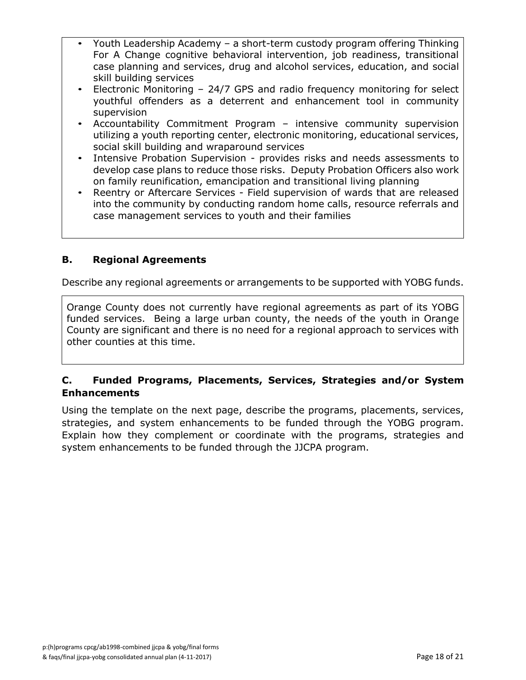- Youth Leadership Academy a short-term custody program offering Thinking For A Change cognitive behavioral intervention, job readiness, transitional case planning and services, drug and alcohol services, education, and social skill building services
- Electronic Monitoring 24/7 GPS and radio frequency monitoring for select youthful offenders as a deterrent and enhancement tool in community supervision
- Accountability Commitment Program intensive community supervision utilizing a youth reporting center, electronic monitoring, educational services, social skill building and wraparound services
- Intensive Probation Supervision provides risks and needs assessments to develop case plans to reduce those risks. Deputy Probation Officers also work on family reunification, emancipation and transitional living planning
- Reentry or Aftercare Services Field supervision of wards that are released into the community by conducting random home calls, resource referrals and case management services to youth and their families

### **B. Regional Agreements**

Describe any regional agreements or arrangements to be supported with YOBG funds.

Orange County does not currently have regional agreements as part of its YOBG funded services. Being a large urban county, the needs of the youth in Orange County are significant and there is no need for a regional approach to services with other counties at this time.

#### **C. Funded Programs, Placements, Services, Strategies and/or System Enhancements**

Using the template on the next page, describe the programs, placements, services, strategies, and system enhancements to be funded through the YOBG program. Explain how they complement or coordinate with the programs, strategies and system enhancements to be funded through the JJCPA program.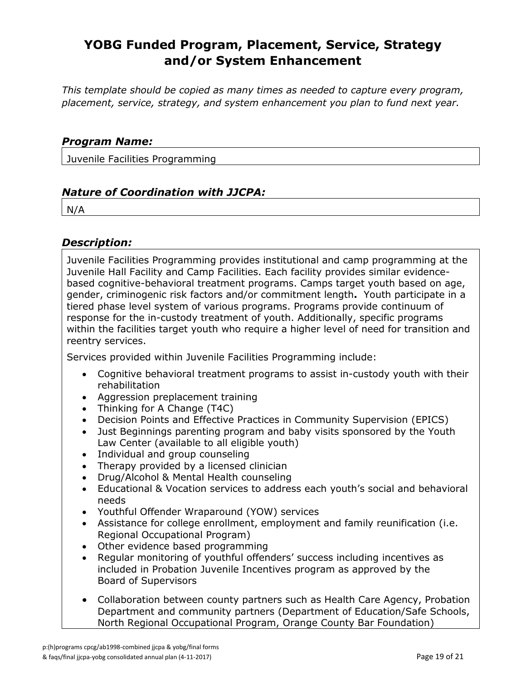# **YOBG Funded Program, Placement, Service, Strategy and/or System Enhancement**

*This template should be copied as many times as needed to capture every program, placement, service, strategy, and system enhancement you plan to fund next year.*

#### *Program Name:*

Juvenile Facilities Programming

#### *Nature of Coordination with JJCPA:*

N/A

#### *Description:*

Juvenile Facilities Programming provides institutional and camp programming at the Juvenile Hall Facility and Camp Facilities. Each facility provides similar evidencebased cognitive-behavioral treatment programs. Camps target youth based on age, gender, criminogenic risk factors and/or commitment length**.** Youth participate in a tiered phase level system of various programs. Programs provide continuum of response for the in-custody treatment of youth. Additionally, specific programs within the facilities target youth who require a higher level of need for transition and reentry services.

Services provided within Juvenile Facilities Programming include:

- Cognitive behavioral treatment programs to assist in-custody youth with their rehabilitation
- Aggression preplacement training
- Thinking for A Change (T4C)
- Decision Points and Effective Practices in Community Supervision (EPICS)
- Just Beginnings parenting program and baby visits sponsored by the Youth Law Center (available to all eligible youth)
- Individual and group counseling
- Therapy provided by a licensed clinician
- Drug/Alcohol & Mental Health counseling
- Educational & Vocation services to address each youth's social and behavioral needs
- Youthful Offender Wraparound (YOW) services
- Assistance for college enrollment, employment and family reunification (i.e. Regional Occupational Program)
- Other evidence based programming
- Regular monitoring of youthful offenders' success including incentives as included in Probation Juvenile Incentives program as approved by the Board of Supervisors
- Collaboration between county partners such as Health Care Agency, Probation Department and community partners (Department of Education/Safe Schools, North Regional Occupational Program, Orange County Bar Foundation)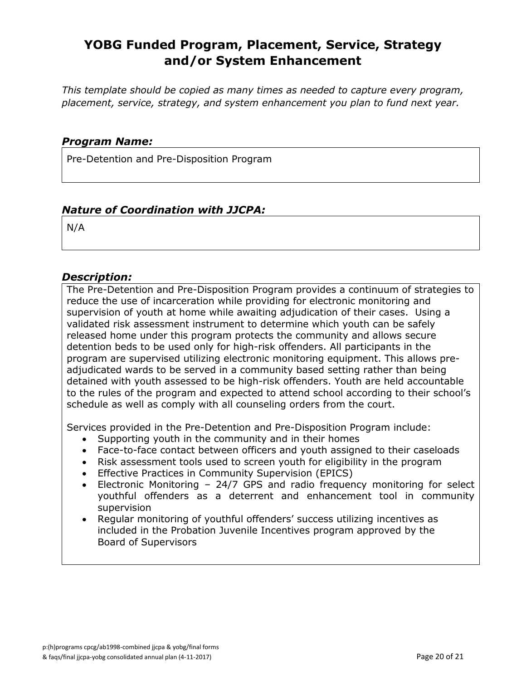# **YOBG Funded Program, Placement, Service, Strategy and/or System Enhancement**

*This template should be copied as many times as needed to capture every program, placement, service, strategy, and system enhancement you plan to fund next year.*

#### *Program Name:*

Pre-Detention and Pre-Disposition Program

#### *Nature of Coordination with JJCPA:*

N/A

#### *Description:*

The Pre-Detention and Pre-Disposition Program provides a continuum of strategies to reduce the use of incarceration while providing for electronic monitoring and supervision of youth at home while awaiting adjudication of their cases. Using a validated risk assessment instrument to determine which youth can be safely released home under this program protects the community and allows secure detention beds to be used only for high-risk offenders. All participants in the program are supervised utilizing electronic monitoring equipment. This allows preadjudicated wards to be served in a community based setting rather than being detained with youth assessed to be high-risk offenders. Youth are held accountable to the rules of the program and expected to attend school according to their school's schedule as well as comply with all counseling orders from the court.

Services provided in the Pre-Detention and Pre-Disposition Program include:

- Supporting youth in the community and in their homes
- Face-to-face contact between officers and youth assigned to their caseloads
- Risk assessment tools used to screen youth for eligibility in the program
- Effective Practices in Community Supervision (EPICS)
- Electronic Monitoring 24/7 GPS and radio frequency monitoring for select youthful offenders as a deterrent and enhancement tool in community supervision
- Regular monitoring of youthful offenders' success utilizing incentives as included in the Probation Juvenile Incentives program approved by the Board of Supervisors